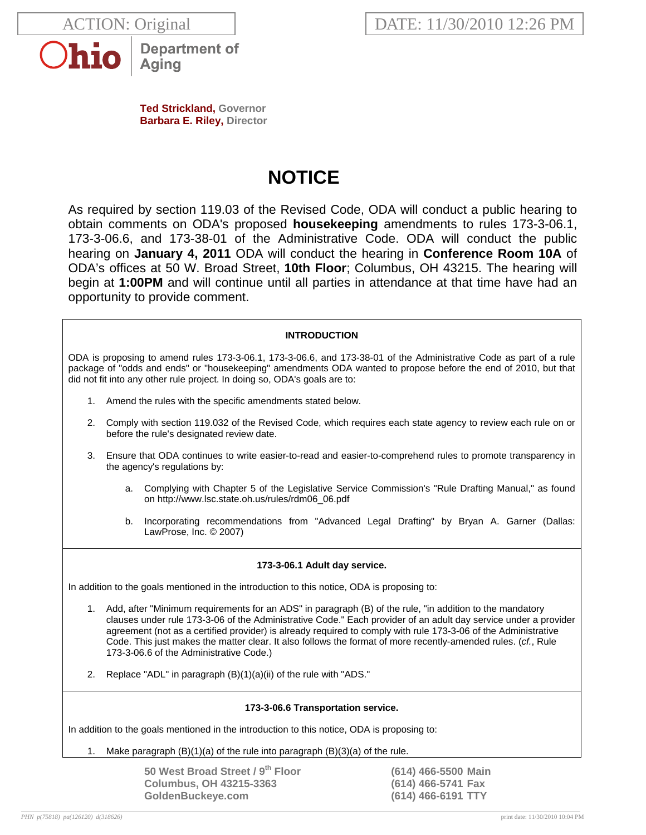



**Department of** Aging

**Ted Strickland, Governor Barbara E. Riley, Director** 

# **NOTICE**

As required by section 119.03 of the Revised Code, ODA will conduct a public hearing to obtain comments on ODA's proposed **housekeeping** amendments to rules 173-3-06.1, 173-3-06.6, and 173-38-01 of the Administrative Code. ODA will conduct the public hearing on **January 4, 2011** ODA will conduct the hearing in **Conference Room 10A** of ODA's offices at 50 W. Broad Street, **10th Floor**; Columbus, OH 43215. The hearing will begin at **1:00PM** and will continue until all parties in attendance at that time have had an opportunity to provide comment.

## **INTRODUCTION**

ODA is proposing to amend rules 173-3-06.1, 173-3-06.6, and 173-38-01 of the Administrative Code as part of a rule package of "odds and ends" or "housekeeping" amendments ODA wanted to propose before the end of 2010, but that did not fit into any other rule project. In doing so, ODA's goals are to:

- 1. Amend the rules with the specific amendments stated below.
- 2. Comply with section 119.032 of the Revised Code, which requires each state agency to review each rule on or before the rule's designated review date.
- 3. Ensure that ODA continues to write easier-to-read and easier-to-comprehend rules to promote transparency in the agency's regulations by:
	- a. Complying with Chapter 5 of the Legislative Service Commission's "Rule Drafting Manual," as found on http://www.lsc.state.oh.us/rules/rdm06\_06.pdf
	- b. Incorporating recommendations from "Advanced Legal Drafting" by Bryan A. Garner (Dallas: LawProse, Inc. © 2007)

### **173-3-06.1 Adult day service.**

In addition to the goals mentioned in the introduction to this notice, ODA is proposing to:

- 1. Add, after "Minimum requirements for an ADS" in paragraph (B) of the rule, "in addition to the mandatory clauses under rule 173-3-06 of the Administrative Code." Each provider of an adult day service under a provider agreement (not as a certified provider) is already required to comply with rule 173-3-06 of the Administrative Code. This just makes the matter clear. It also follows the format of more recently-amended rules. (*cf.*, Rule 173-3-06.6 of the Administrative Code.)
- 2. Replace "ADL" in paragraph (B)(1)(a)(ii) of the rule with "ADS."

#### **173-3-06.6 Transportation service.**

In addition to the goals mentioned in the introduction to this notice, ODA is proposing to:

Make paragraph  $(B)(1)(a)$  of the rule into paragraph  $(B)(3)(a)$  of the rule.

**50 West Broad Street / 9th Floor (614) 466-5500 Main Columbus, OH 43215-3363 (614) 466-5741 Fax GoldenBuckeye.com (614) 466-6191 TTY**